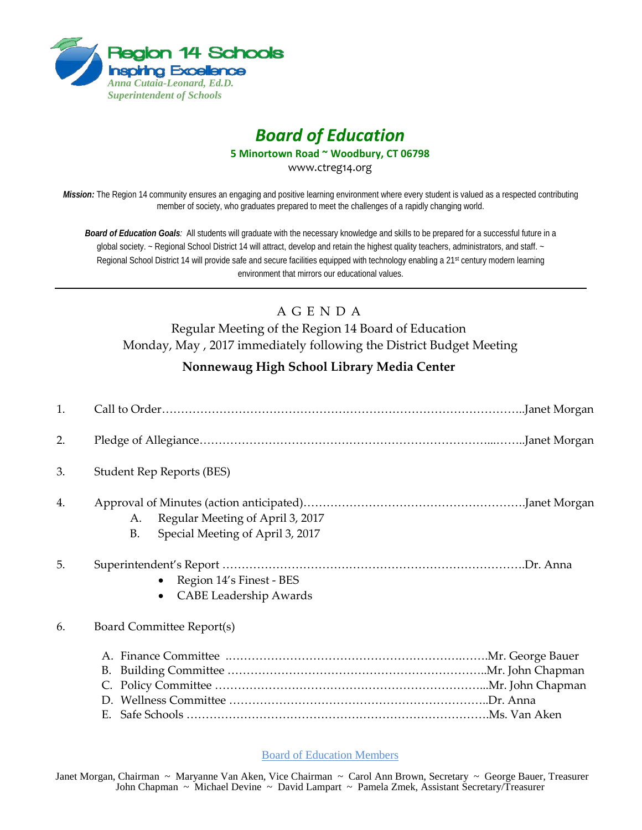

## *Board of Education*

**5 Minortown Road ~ Woodbury, CT 06798**

www.ctreg14.org

*Mission:* The Region 14 community ensures an engaging and positive learning environment where every student is valued as a respected contributing member of society, who graduates prepared to meet the challenges of a rapidly changing world.

*Board of Education Goals:* All students will graduate with the necessary knowledge and skills to be prepared for a successful future in a global society. ~ Regional School District 14 will attract, develop and retain the highest quality teachers, administrators, and staff. ~ Regional School District 14 will provide safe and secure facilities equipped with technology enabling a 21<sup>st</sup> century modern learning environment that mirrors our educational values.

## A G E N D A

Regular Meeting of the Region 14 Board of Education Monday, May , 2017 immediately following the District Budget Meeting

## **Nonnewaug High School Library Media Center**

| 1. |                                                                                         |
|----|-----------------------------------------------------------------------------------------|
| 2. |                                                                                         |
| 3. | <b>Student Rep Reports (BES)</b>                                                        |
| 4. | Regular Meeting of April 3, 2017<br>A.<br>Special Meeting of April 3, 2017<br><b>B.</b> |
| 5. | Region 14's Finest - BES<br>$\bullet$<br><b>CABE Leadership Awards</b>                  |
| 6. | Board Committee Report(s)                                                               |
|    | Е.                                                                                      |

Board of Education Members